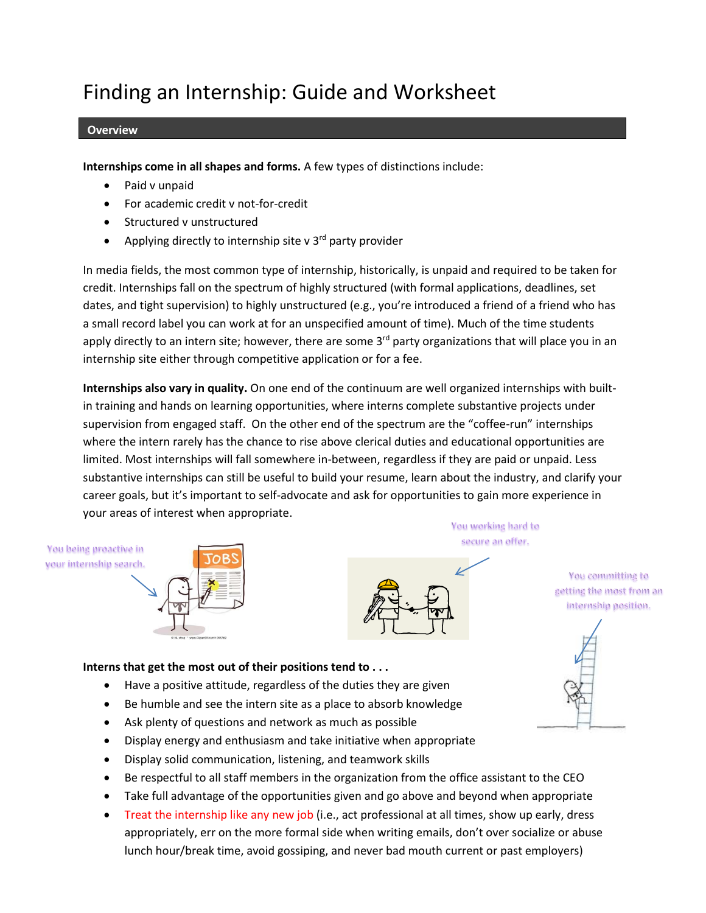# Finding an Internship: Guide and Worksheet

#### **Overview**

**Internships come in all shapes and forms.** A few types of distinctions include:

- Paid v unpaid
- For academic credit v not-for-credit
- Structured v unstructured
- Applying directly to internship site v 3<sup>rd</sup> party provider

In media fields, the most common type of internship, historically, is unpaid and required to be taken for credit. Internships fall on the spectrum of highly structured (with formal applications, deadlines, set dates, and tight supervision) to highly unstructured (e.g., you're introduced a friend of a friend who has a small record label you can work at for an unspecified amount of time). Much of the time students apply directly to an intern site; however, there are some  $3<sup>rd</sup>$  party organizations that will place you in an internship site either through competitive application or for a fee.

**Internships also vary in quality.** On one end of the continuum are well organized internships with builtin training and hands on learning opportunities, where interns complete substantive projects under supervision from engaged staff. On the other end of the spectrum are the "coffee-run" internships where the intern rarely has the chance to rise above clerical duties and educational opportunities are limited. Most internships will fall somewhere in-between, regardless if they are paid or unpaid. Less substantive internships can still be useful to build your resume, learn about the industry, and clarify your career goals, but it's important to self-advocate and ask for opportunities to gain more experience in your areas of interest when appropriate.

You being proactive in vour internship search.



You working hard to secure an offer.

> You committing to getting the most from an internship position.



## **Interns that get the most out of their positions tend to . . .**

- Have a positive attitude, regardless of the duties they are given
- Be humble and see the intern site as a place to absorb knowledge
- Ask plenty of questions and network as much as possible
- Display energy and enthusiasm and take initiative when appropriate
- Display solid communication, listening, and teamwork skills
- Be respectful to all staff members in the organization from the office assistant to the CEO
- Take full advantage of the opportunities given and go above and beyond when appropriate
- Treat the internship like any new job (i.e., act professional at all times, show up early, dress appropriately, err on the more formal side when writing emails, don't over socialize or abuse lunch hour/break time, avoid gossiping, and never bad mouth current or past employers)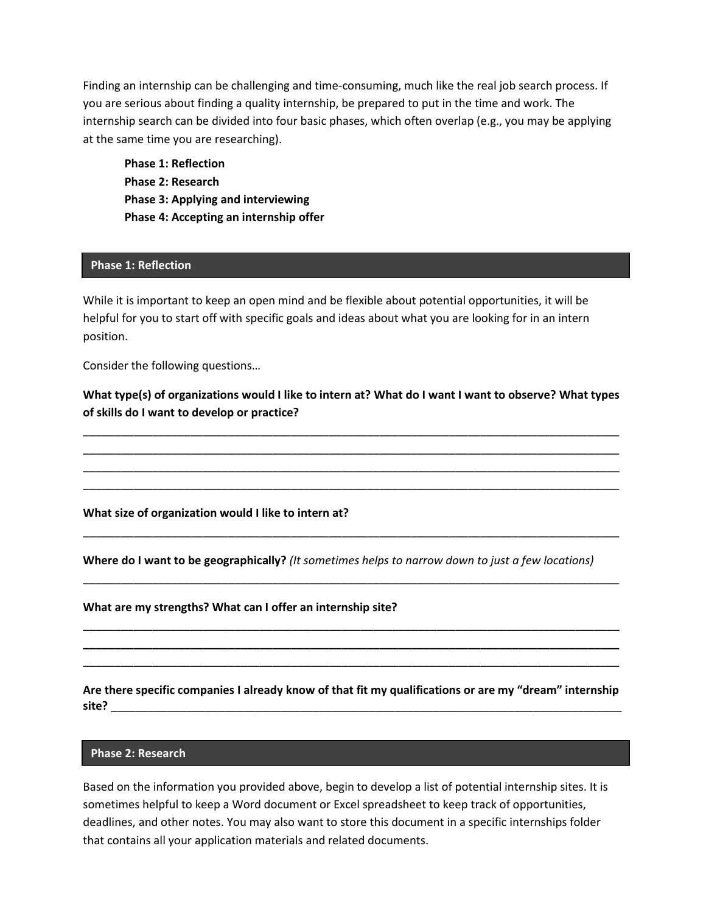Finding an internship can be challenging and time-consuming, much like the real job search process. If you are serious about finding a quality internship, be prepared to put in the time and work. The internship search can be divided into four basic phases, which often overlap (e.g., you may be applying at the same time you are researching).

**Phase 1: Reflection Phase 2: Research Phase 3: Applying and interviewing Phase 4: Accepting an internship offer**

#### **Phase 1: Reflection**

While it is important to keep an open mind and be flexible about potential opportunities, it will be helpful for you to start off with specific goals and ideas about what you are looking for in an intern position.

Consider the following questions…

**What type(s) of organizations would I like to intern at? What do I want I want to observe? What types of skills do I want to develop or practice?**

\_\_\_\_\_\_\_\_\_\_\_\_\_\_\_\_\_\_\_\_\_\_\_\_\_\_\_\_\_\_\_\_\_\_\_\_\_\_\_\_\_\_\_\_\_\_\_\_\_\_\_\_\_\_\_\_\_\_\_\_\_\_\_\_\_\_\_\_\_\_\_\_\_\_\_\_\_\_\_\_\_\_\_\_\_ \_\_\_\_\_\_\_\_\_\_\_\_\_\_\_\_\_\_\_\_\_\_\_\_\_\_\_\_\_\_\_\_\_\_\_\_\_\_\_\_\_\_\_\_\_\_\_\_\_\_\_\_\_\_\_\_\_\_\_\_\_\_\_\_\_\_\_\_\_\_\_\_\_\_\_\_\_\_\_\_\_\_\_\_\_ \_\_\_\_\_\_\_\_\_\_\_\_\_\_\_\_\_\_\_\_\_\_\_\_\_\_\_\_\_\_\_\_\_\_\_\_\_\_\_\_\_\_\_\_\_\_\_\_\_\_\_\_\_\_\_\_\_\_\_\_\_\_\_\_\_\_\_\_\_\_\_\_\_\_\_\_\_\_\_\_\_\_\_\_\_ \_\_\_\_\_\_\_\_\_\_\_\_\_\_\_\_\_\_\_\_\_\_\_\_\_\_\_\_\_\_\_\_\_\_\_\_\_\_\_\_\_\_\_\_\_\_\_\_\_\_\_\_\_\_\_\_\_\_\_\_\_\_\_\_\_\_\_\_\_\_\_\_\_\_\_\_\_\_\_\_\_\_\_\_\_

**What size of organization would I like to intern at?**

**Where do I want to be geographically?** *(It sometimes helps to narrow down to just a few locations)*

\_\_\_\_\_\_\_\_\_\_\_\_\_\_\_\_\_\_\_\_\_\_\_\_\_\_\_\_\_\_\_\_\_\_\_\_\_\_\_\_\_\_\_\_\_\_\_\_\_\_\_\_\_\_\_\_\_\_\_\_\_\_\_\_\_\_\_\_\_\_\_\_\_\_\_\_\_\_\_\_\_\_\_\_\_

\_\_\_\_\_\_\_\_\_\_\_\_\_\_\_\_\_\_\_\_\_\_\_\_\_\_\_\_\_\_\_\_\_\_\_\_\_\_\_\_\_\_\_\_\_\_\_\_\_\_\_\_\_\_\_\_\_\_\_\_\_\_\_\_\_\_\_\_\_\_\_\_\_\_\_\_\_\_\_\_\_\_\_\_\_

**\_\_\_\_\_\_\_\_\_\_\_\_\_\_\_\_\_\_\_\_\_\_\_\_\_\_\_\_\_\_\_\_\_\_\_\_\_\_\_\_\_\_\_\_\_\_\_\_\_\_\_\_\_\_\_\_\_\_\_\_\_\_\_\_\_\_\_\_\_\_\_\_\_\_\_\_\_\_\_\_\_\_\_\_\_ \_\_\_\_\_\_\_\_\_\_\_\_\_\_\_\_\_\_\_\_\_\_\_\_\_\_\_\_\_\_\_\_\_\_\_\_\_\_\_\_\_\_\_\_\_\_\_\_\_\_\_\_\_\_\_\_\_\_\_\_\_\_\_\_\_\_\_\_\_\_\_\_\_\_\_\_\_\_\_\_\_\_\_\_\_ \_\_\_\_\_\_\_\_\_\_\_\_\_\_\_\_\_\_\_\_\_\_\_\_\_\_\_\_\_\_\_\_\_\_\_\_\_\_\_\_\_\_\_\_\_\_\_\_\_\_\_\_\_\_\_\_\_\_\_\_\_\_\_\_\_\_\_\_\_\_\_\_\_\_\_\_\_\_\_\_\_\_\_\_\_**

**What are my strengths? What can I offer an internship site?** 

**Are there specific companies I already know of that fit my qualifications or are my "dream" internship site?** \_\_\_\_\_\_\_\_\_\_\_\_\_\_\_\_\_\_\_\_\_\_\_\_\_\_\_\_\_\_\_\_\_\_\_\_\_\_\_\_\_\_\_\_\_\_\_\_\_\_\_\_\_\_\_\_\_\_\_\_\_\_\_\_\_\_\_\_\_\_\_\_\_\_\_\_\_\_\_\_\_

#### **Phase 2: Research**

Based on the information you provided above, begin to develop a list of potential internship sites. It is sometimes helpful to keep a Word document or Excel spreadsheet to keep track of opportunities, deadlines, and other notes. You may also want to store this document in a specific internships folder that contains all your application materials and related documents.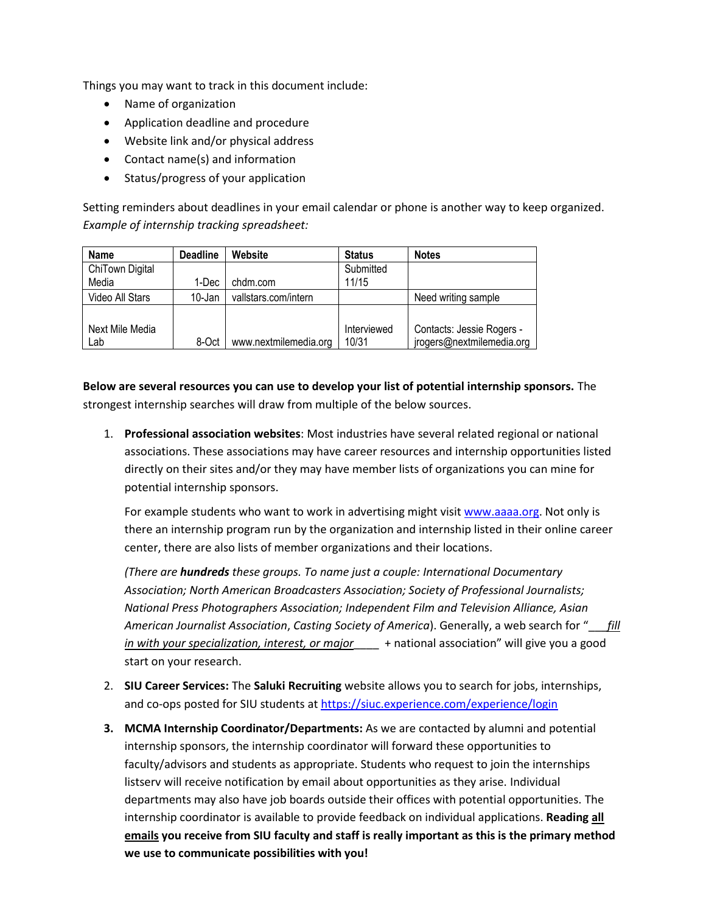Things you may want to track in this document include:

- Name of organization
- Application deadline and procedure
- Website link and/or physical address
- Contact name(s) and information
- Status/progress of your application

Setting reminders about deadlines in your email calendar or phone is another way to keep organized. *Example of internship tracking spreadsheet:*

| <b>Name</b>     | <b>Deadline</b> | Website               | <b>Status</b> | <b>Notes</b>              |
|-----------------|-----------------|-----------------------|---------------|---------------------------|
| ChiTown Digital |                 |                       | Submitted     |                           |
| Media           | 1-Dec           | chdm.com              | 11/15         |                           |
| Video All Stars | 10-Jan          | vallstars.com/intern  |               | Need writing sample       |
|                 |                 |                       |               |                           |
| Next Mile Media |                 |                       | Interviewed   | Contacts: Jessie Rogers - |
| Lab             | 8-Oct           | www.nextmilemedia.org | 10/31         | jrogers@nextmilemedia.org |

**Below are several resources you can use to develop your list of potential internship sponsors.** The strongest internship searches will draw from multiple of the below sources.

1. **Professional association websites**: Most industries have several related regional or national associations. These associations may have career resources and internship opportunities listed directly on their sites and/or they may have member lists of organizations you can mine for potential internship sponsors.

For example students who want to work in advertising might visi[t www.aaaa.org.](http://www.aaaa.org/) Not only is there an internship program run by the organization and internship listed in their online career center, there are also lists of member organizations and their locations.

*(There are hundreds these groups. To name just a couple: International Documentary Association; North American Broadcasters Association; Society of Professional Journalists; National Press Photographers Association; Independent Film and Television Alliance, Asian American Journalist Association*, *Casting Society of America*). Generally, a web search for "\_\_\_*fill in with your specialization, interest, or major*\_\_\_\_ + national association" will give you a good start on your research.

- 2. **SIU Career Services:** The **Saluki Recruiting** website allows you to search for jobs, internships, and co-ops posted for SIU students at <https://siuc.experience.com/experience/login>
- **3. MCMA Internship Coordinator/Departments:** As we are contacted by alumni and potential internship sponsors, the internship coordinator will forward these opportunities to faculty/advisors and students as appropriate. Students who request to join the internships listserv will receive notification by email about opportunities as they arise. Individual departments may also have job boards outside their offices with potential opportunities. The internship coordinator is available to provide feedback on individual applications. **Reading all emails you receive from SIU faculty and staff is really important as this is the primary method we use to communicate possibilities with you!**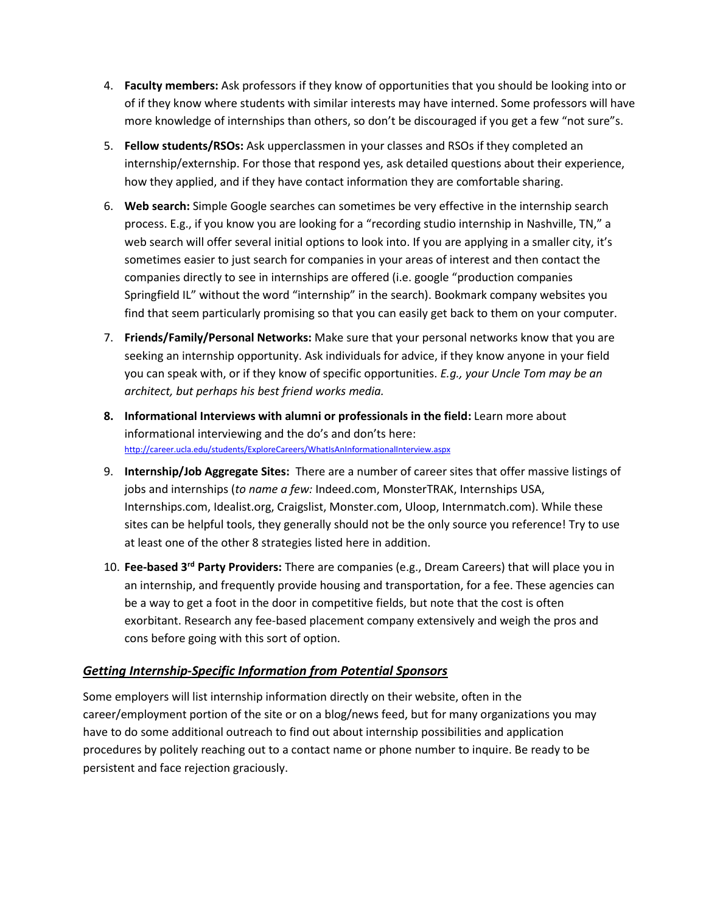- 4. **Faculty members:** Ask professors if they know of opportunities that you should be looking into or of if they know where students with similar interests may have interned. Some professors will have more knowledge of internships than others, so don't be discouraged if you get a few "not sure"s.
- 5. **Fellow students/RSOs:** Ask upperclassmen in your classes and RSOs if they completed an internship/externship. For those that respond yes, ask detailed questions about their experience, how they applied, and if they have contact information they are comfortable sharing.
- 6. **Web search:** Simple Google searches can sometimes be very effective in the internship search process. E.g., if you know you are looking for a "recording studio internship in Nashville, TN," a web search will offer several initial options to look into. If you are applying in a smaller city, it's sometimes easier to just search for companies in your areas of interest and then contact the companies directly to see in internships are offered (i.e. google "production companies Springfield IL" without the word "internship" in the search). Bookmark company websites you find that seem particularly promising so that you can easily get back to them on your computer.
- 7. **Friends/Family/Personal Networks:** Make sure that your personal networks know that you are seeking an internship opportunity. Ask individuals for advice, if they know anyone in your field you can speak with, or if they know of specific opportunities. *E.g., your Uncle Tom may be an architect, but perhaps his best friend works media.*
- **8. Informational Interviews with alumni or professionals in the field:** Learn more about informational interviewing and the do's and don'ts here: <http://career.ucla.edu/students/ExploreCareers/WhatIsAnInformationalInterview.aspx>
- 9. **Internship/Job Aggregate Sites:** There are a number of career sites that offer massive listings of jobs and internships (*to name a few:* Indeed.com, MonsterTRAK, Internships USA, Internships.com, Idealist.org, Craigslist, Monster.com, Uloop, Internmatch.com). While these sites can be helpful tools, they generally should not be the only source you reference! Try to use at least one of the other 8 strategies listed here in addition.
- 10. **Fee-based 3rd Party Providers:** There are companies (e.g., Dream Careers) that will place you in an internship, and frequently provide housing and transportation, for a fee. These agencies can be a way to get a foot in the door in competitive fields, but note that the cost is often exorbitant. Research any fee-based placement company extensively and weigh the pros and cons before going with this sort of option.

# *Getting Internship-Specific Information from Potential Sponsors*

Some employers will list internship information directly on their website, often in the career/employment portion of the site or on a blog/news feed, but for many organizations you may have to do some additional outreach to find out about internship possibilities and application procedures by politely reaching out to a contact name or phone number to inquire. Be ready to be persistent and face rejection graciously.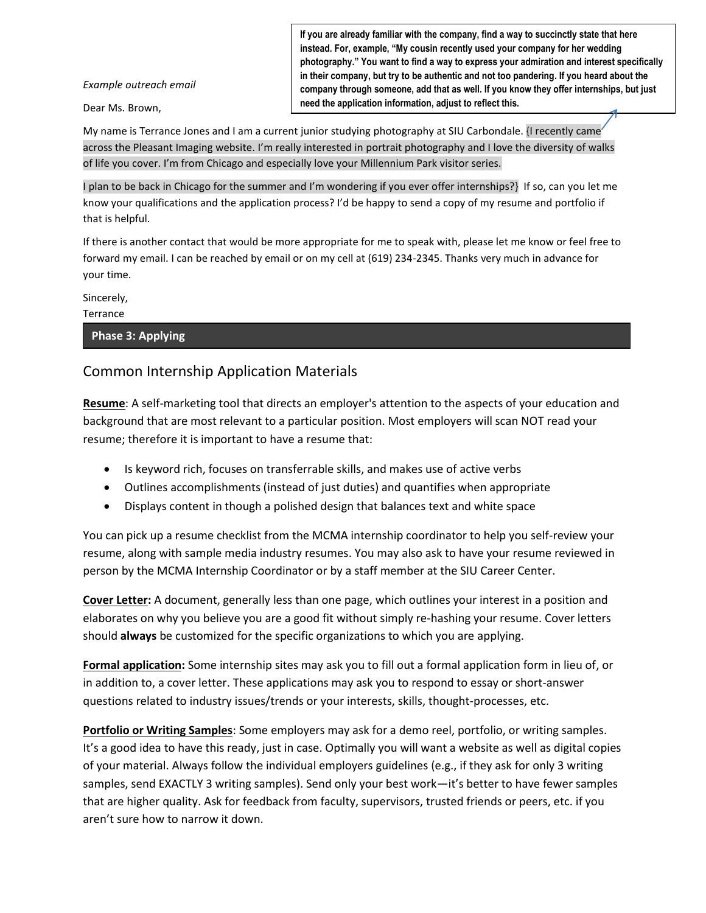*Example outreach email*

Dear Ms. Brown,

**If you are already familiar with the company, find a way to succinctly state that here instead. For, example, "My cousin recently used your company for her wedding photography." You want to find a way to express your admiration and interest specifically in their company, but try to be authentic and not too pandering. If you heard about the company through someone, add that as well. If you know they offer internships, but just need the application information, adjust to reflect this.**

My name is Terrance Jones and I am a current junior studying photography at SIU Carbondale. {I recently came across the Pleasant Imaging website. I'm really interested in portrait photography and I love the diversity of walks of life you cover. I'm from Chicago and especially love your Millennium Park visitor series.

I plan to be back in Chicago for the summer and I'm wondering if you ever offer internships?} If so, can you let me know your qualifications and the application process? I'd be happy to send a copy of my resume and portfolio if that is helpful.

If there is another contact that would be more appropriate for me to speak with, please let me know or feel free to forward my email. I can be reached by email or on my cell at (619) 234-2345. Thanks very much in advance for your time.

Sincerely,

**Terrance** 

**Phase 3: Applying**

# Common Internship Application Materials

**Resume**: A self-marketing tool that directs an employer's attention to the aspects of your education and background that are most relevant to a particular position. Most employers will scan NOT read your resume; therefore it is important to have a resume that:

- Is keyword rich, focuses on transferrable skills, and makes use of active verbs
- Outlines accomplishments (instead of just duties) and quantifies when appropriate
- Displays content in though a polished design that balances text and white space

You can pick up a resume checklist from the MCMA internship coordinator to help you self-review your resume, along with sample media industry resumes. You may also ask to have your resume reviewed in person by the MCMA Internship Coordinator or by a staff member at the SIU Career Center.

**Cover Letter:** A document, generally less than one page, which outlines your interest in a position and elaborates on why you believe you are a good fit without simply re-hashing your resume. Cover letters should **always** be customized for the specific organizations to which you are applying.

**Formal application:** Some internship sites may ask you to fill out a formal application form in lieu of, or in addition to, a cover letter. These applications may ask you to respond to essay or short-answer questions related to industry issues/trends or your interests, skills, thought-processes, etc.

**Portfolio or Writing Samples**: Some employers may ask for a demo reel, portfolio, or writing samples. It's a good idea to have this ready, just in case. Optimally you will want a website as well as digital copies of your material. Always follow the individual employers guidelines (e.g., if they ask for only 3 writing samples, send EXACTLY 3 writing samples). Send only your best work—it's better to have fewer samples that are higher quality. Ask for feedback from faculty, supervisors, trusted friends or peers, etc. if you aren't sure how to narrow it down.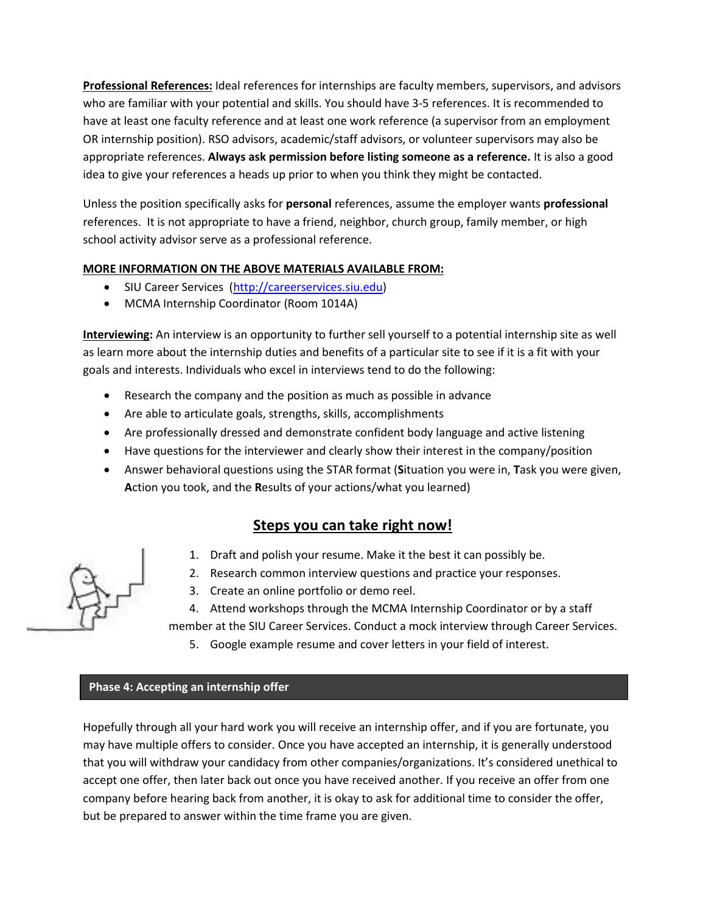**Professional References:** Ideal references for internships are faculty members, supervisors, and advisors who are familiar with your potential and skills. You should have 3-5 references. It is recommended to have at least one faculty reference and at least one work reference (a supervisor from an employment OR internship position). RSO advisors, academic/staff advisors, or volunteer supervisors may also be appropriate references. **Always ask permission before listing someone as a reference.** It is also a good idea to give your references a heads up prior to when you think they might be contacted.

Unless the position specifically asks for **personal** references, assume the employer wants **professional**  references. It is not appropriate to have a friend, neighbor, church group, family member, or high school activity advisor serve as a professional reference.

# **MORE INFORMATION ON THE ABOVE MATERIALS AVAILABLE FROM:**

- SIU Career Services [\(http://careerservices.siu.edu\)](http://careerservices.siu.edu/students/handouts.html)
- MCMA Internship Coordinator (Room 1014A)

**Interviewing:** An interview is an opportunity to further sell yourself to a potential internship site as well as learn more about the internship duties and benefits of a particular site to see if it is a fit with your goals and interests. Individuals who excel in interviews tend to do the following:

- Research the company and the position as much as possible in advance
- Are able to articulate goals, strengths, skills, accomplishments
- Are professionally dressed and demonstrate confident body language and active listening
- Have questions for the interviewer and clearly show their interest in the company/position
- Answer behavioral questions using the STAR format (**S**ituation you were in, **T**ask you were given, **A**ction you took, and the **R**esults of your actions/what you learned)

# **Steps you can take right now!**

- 1. Draft and polish your resume. Make it the best it can possibly be.
- 2. Research common interview questions and practice your responses.
- 3. Create an online portfolio or demo reel.
- 4. Attend workshops through the MCMA Internship Coordinator or by a staff

member at the SIU Career Services. Conduct a mock interview through Career Services.

5. Google example resume and cover letters in your field of interest.

# **Phase 4: Accepting an internship offer**

Hopefully through all your hard work you will receive an internship offer, and if you are fortunate, you may have multiple offers to consider. Once you have accepted an internship, it is generally understood that you will withdraw your candidacy from other companies/organizations. It's considered unethical to accept one offer, then later back out once you have received another. If you receive an offer from one company before hearing back from another, it is okay to ask for additional time to consider the offer, but be prepared to answer within the time frame you are given.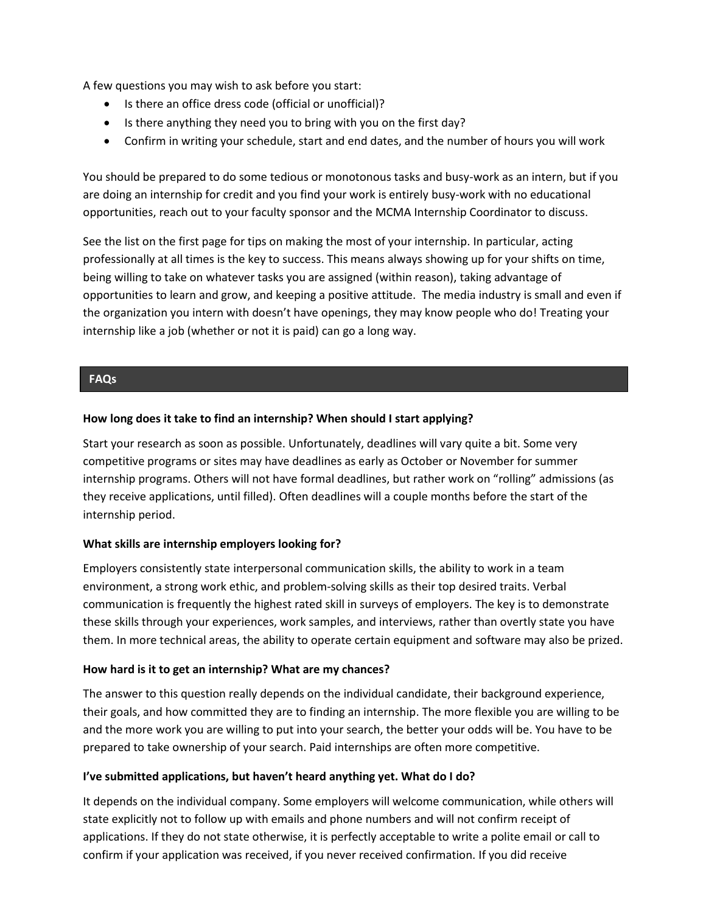A few questions you may wish to ask before you start:

- Is there an office dress code (official or unofficial)?
- Is there anything they need you to bring with you on the first day?
- Confirm in writing your schedule, start and end dates, and the number of hours you will work

You should be prepared to do some tedious or monotonous tasks and busy-work as an intern, but if you are doing an internship for credit and you find your work is entirely busy-work with no educational opportunities, reach out to your faculty sponsor and the MCMA Internship Coordinator to discuss.

See the list on the first page for tips on making the most of your internship. In particular, acting professionally at all times is the key to success. This means always showing up for your shifts on time, being willing to take on whatever tasks you are assigned (within reason), taking advantage of opportunities to learn and grow, and keeping a positive attitude. The media industry is small and even if the organization you intern with doesn't have openings, they may know people who do! Treating your internship like a job (whether or not it is paid) can go a long way.

## **FAQs**

## **How long does it take to find an internship? When should I start applying?**

Start your research as soon as possible. Unfortunately, deadlines will vary quite a bit. Some very competitive programs or sites may have deadlines as early as October or November for summer internship programs. Others will not have formal deadlines, but rather work on "rolling" admissions (as they receive applications, until filled). Often deadlines will a couple months before the start of the internship period.

## **What skills are internship employers looking for?**

Employers consistently state interpersonal communication skills, the ability to work in a team environment, a strong work ethic, and problem-solving skills as their top desired traits. Verbal communication is frequently the highest rated skill in surveys of employers. The key is to demonstrate these skills through your experiences, work samples, and interviews, rather than overtly state you have them. In more technical areas, the ability to operate certain equipment and software may also be prized.

## **How hard is it to get an internship? What are my chances?**

The answer to this question really depends on the individual candidate, their background experience, their goals, and how committed they are to finding an internship. The more flexible you are willing to be and the more work you are willing to put into your search, the better your odds will be. You have to be prepared to take ownership of your search. Paid internships are often more competitive.

## **I've submitted applications, but haven't heard anything yet. What do I do?**

It depends on the individual company. Some employers will welcome communication, while others will state explicitly not to follow up with emails and phone numbers and will not confirm receipt of applications. If they do not state otherwise, it is perfectly acceptable to write a polite email or call to confirm if your application was received, if you never received confirmation. If you did receive